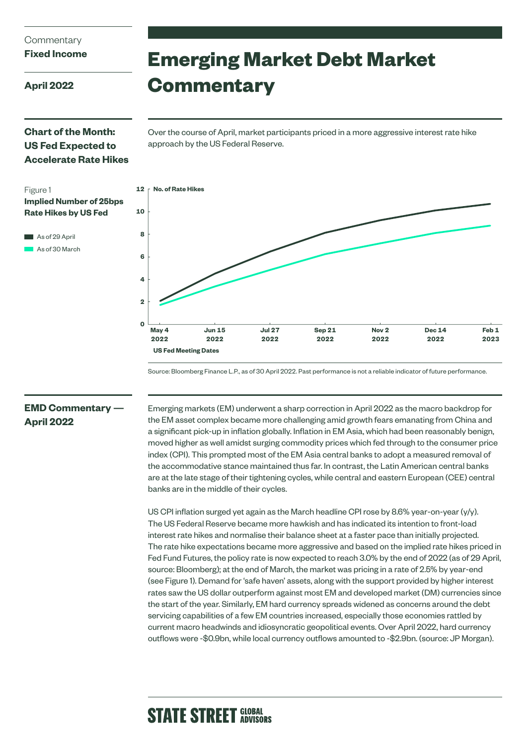## **Commentary**

## **Fixed Income**

**April 2022**

Figure 1

# **Emerging Market Debt Market Commentary**

## **Chart of the Month: US Fed Expected to Accelerate Rate Hikes**

**Rate Hikes by US Fed** 

As of 29 April As of 30 March Over the course of April, market participants priced in a more aggressive interest rate hike approach by the US Federal Reserve.



Source: Bloomberg Finance L.P., as of 30 April 2022. Past performance is not a reliable indicator of future performance.

## **EMD Commentary — April 2022**

Emerging markets (EM) underwent a sharp correction in April 2022 as the macro backdrop for the EM asset complex became more challenging amid growth fears emanating from China and a significant pick-up in inflation globally. Inflation in EM Asia, which had been reasonably benign, moved higher as well amidst surging commodity prices which fed through to the consumer price index (CPI). This prompted most of the EM Asia central banks to adopt a measured removal of the accommodative stance maintained thus far. In contrast, the Latin American central banks are at the late stage of their tightening cycles, while central and eastern European (CEE) central banks are in the middle of their cycles.

US CPI inflation surged yet again as the March headline CPI rose by 8.6% year-on-year (y/y). The US Federal Reserve became more hawkish and has indicated its intention to front-load interest rate hikes and normalise their balance sheet at a faster pace than initially projected. The rate hike expectations became more aggressive and based on the implied rate hikes priced in Fed Fund Futures, the policy rate is now expected to reach 3.0% by the end of 2022 (as of 29 April, source: Bloomberg); at the end of March, the market was pricing in a rate of 2.5% by year-end (see Figure 1). Demand for 'safe haven' assets, along with the support provided by higher interest rates saw the US dollar outperform against most EM and developed market (DM) currencies since the start of the year. Similarly, EM hard currency spreads widened as concerns around the debt servicing capabilities of a few EM countries increased, especially those economies rattled by current macro headwinds and idiosyncratic geopolitical events. Over April 2022, hard currency outflows were -\$0.9bn, while local currency outflows amounted to -\$2.9bn. (source: JP Morgan).

# **STATE STREET GLOBAL**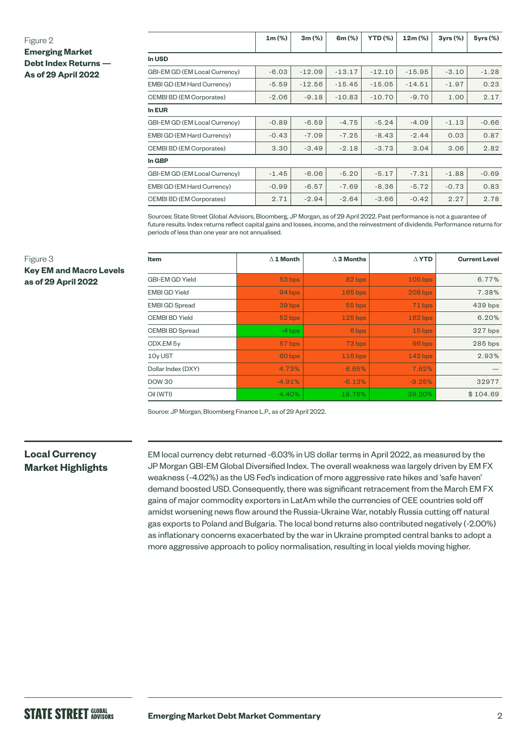#### Figure 2

Figure 3

**Key EM and Macro Levels** 

**as of 29 April 2022**

**Emerging Market Debt Index Returns —**

|  |  | -------------------        |  |  |
|--|--|----------------------------|--|--|
|  |  | <b>As of 29 April 2022</b> |  |  |

|                                 | $1m (\%)$ | 3m(%)    | 6m (%)   | <b>YTD (%)</b> | $12m (\%)$ | 3yrs(%) | 5yrs (%) |
|---------------------------------|-----------|----------|----------|----------------|------------|---------|----------|
| In USD                          |           |          |          |                |            |         |          |
| GBI-EM GD (EM Local Currency)   | $-6.03$   | $-12.09$ | $-13.17$ | $-12.10$       | $-15.95$   | $-3.10$ | $-1.28$  |
| EMBI GD (EM Hard Currency)      | $-5.59$   | $-12.56$ | $-15.45$ | $-15.05$       | $-14.51$   | $-1.97$ | 0.23     |
| <b>CEMBI BD (EM Corporates)</b> | $-2.06$   | $-9.18$  | $-10.83$ | $-10.70$       | $-9.70$    | 1.00    | 2.17     |
| <b>In EUR</b>                   |           |          |          |                |            |         |          |
| GBI-EM GD (EM Local Currency)   | $-0.89$   | $-6.59$  | $-4.75$  | $-5.24$        | $-4.09$    | $-1.13$ | $-0.66$  |
| EMBI GD (EM Hard Currency)      | $-0.43$   | $-7.09$  | $-7.25$  | $-8.43$        | $-2.44$    | 0.03    | 0.87     |
| <b>CEMBI BD (EM Corporates)</b> | 3.30      | $-3.49$  | $-2.18$  | $-3.73$        | 3.04       | 3.06    | 2.82     |
| In GBP                          |           |          |          |                |            |         |          |
| GBI-EM GD (EM Local Currency)   | $-1.45$   | $-6.06$  | $-5.20$  | $-5.17$        | $-7.31$    | $-1.88$ | $-0.69$  |
| EMBI GD (EM Hard Currency)      | $-0.99$   | $-6.57$  | $-7.69$  | $-8.36$        | $-5.72$    | $-0.73$ | 0.83     |
| <b>CEMBI BD (EM Corporates)</b> | 2.71      | $-2.94$  | $-2.64$  | $-3.66$        | $-0.42$    | 2.27    | 2.78     |

Sources: State Street Global Advisors, Bloomberg, JP Morgan, as of 29 April 2022. Past performance is not a guarantee of future results. Index returns reflect capital gains and losses, income, and the reinvestment of dividends. Performance returns for periods of less than one year are not annualised.

| Item                   | $\Delta$ 1 Month | $\Delta$ 3 Months | $\Delta$ YTD   | <b>Current Level</b> |
|------------------------|------------------|-------------------|----------------|----------------------|
| <b>GBI-EM GD Yield</b> | 53 bps           | 82 bps            | $105$ bps      | 6.77%                |
| <b>EMBI GD Yield</b>   | 94 bps           | $165$ bps         | <b>208 bps</b> | 7.38%                |
| <b>EMBI GD Spread</b>  | 39 bps           | 55 bps            | 71 bps         | 439 bps              |
| <b>CEMBI BD Yield</b>  | 52 bps           | $125$ bps         | $162$ bps      | 6.20%                |
| <b>CEMBI BD Spread</b> | $-4$ bps         | 6 bps             | 15 bps         | 327 bps              |
| CDX.EM 5y              | 57 bps           | 73 bps            | 96 bps         | $285$ bps            |
| 10y UST                | 60 bps           | $116$ bps         | $142$ bps      | 2.93%                |
| Dollar Index (DXY)     | 4.73%            | 6.65%             | 7.62%          |                      |
| <b>DOW 30</b>          | $-4.91%$         | $-6.13%$          | $-9.25%$       | 32977                |
| Oil (WTI)              | 4.40%            | 18.76%            | 39.20%         | \$104.69             |

Source: JP Morgan, Bloomberg Finance L.P., as of 29 April 2022.

## **Local Currency Market Highlights**

EM local currency debt returned -6.03% in US dollar terms in April 2022, as measured by the JP Morgan GBI-EM Global Diversified Index. The overall weakness was largely driven by EM FX weakness (-4.02%) as the US Fed's indication of more aggressive rate hikes and 'safe haven' demand boosted USD. Consequently, there was significant retracement from the March EM FX gains of major commodity exporters in LatAm while the currencies of CEE countries sold off amidst worsening news flow around the Russia-Ukraine War, notably Russia cutting off natural gas exports to Poland and Bulgaria. The local bond returns also contributed negatively (-2.00%) as inflationary concerns exacerbated by the war in Ukraine prompted central banks to adopt a more aggressive approach to policy normalisation, resulting in local yields moving higher.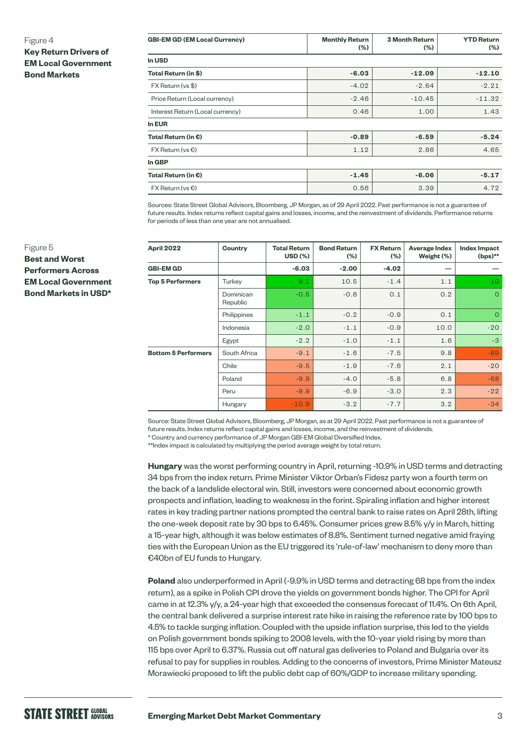#### Figure 4

**Key Return Drivers of EM Local Government Bond Markets**

| <b>GBI-EM GD (EM Local Currency)</b> | <b>Monthly Return</b><br>$(\%)$ | <b>3 Month Return</b><br>$(\% )$ | <b>YTD Return</b><br>$(\% )$ |
|--------------------------------------|---------------------------------|----------------------------------|------------------------------|
| In USD                               |                                 |                                  |                              |
| Total Return (in \$)                 | $-6.03$                         | $-12.09$                         | $-12.10$                     |
| FX Return (vs \$)                    | $-4.02$                         | $-2.64$                          | $-2.21$                      |
| Price Return (Local currency)        | $-2.46$                         | $-10.45$                         | $-11.32$                     |
| Interest Return (Local currency)     | 0.46                            | 1.00                             | 1.43                         |
| In EUR                               |                                 |                                  |                              |
| Total Return (in $\epsilon$ )        | $-0.89$                         | $-6.59$                          | $-5.24$                      |
| $FX$ Return (vs $\bigcirc$ )         | 1.12                            | 2.86                             | 4.65                         |
| In GBP                               |                                 |                                  |                              |
| Total Return (in $\epsilon$ )        | $-1.45$                         | $-6.06$                          | $-5.17$                      |
| $FX$ Return (vs $\epsilon$ )         | 0.56                            | 3.39                             | 4.72                         |

Sources: State Street Global Advisors, Bloomberg, JP Morgan, as of 29 April 2022. Past performance is not a guarantee of future results. Index returns reflect capital gains and losses, income, and the reinvestment of dividends. Performance returns for periods of less than one year are not annualised.

| April 2022                 | Country               | <b>Total Return</b><br><b>USD (%)</b> | <b>Bond Return</b><br>$(\% )$ | <b>FX Return</b><br>(%) | <b>Average Index</b><br>Weight (%) | <b>Index Impact</b><br>$(bps)$ ** |
|----------------------------|-----------------------|---------------------------------------|-------------------------------|-------------------------|------------------------------------|-----------------------------------|
| <b>GBI-EM GD</b>           |                       | $-6.03$                               | $-2.00$                       | $-4.02$                 |                                    |                                   |
| <b>Top 5 Performers</b>    | Turkey                | 9.1                                   | 10.5                          | $-1.4$                  | 1.1                                | 10                                |
|                            | Dominican<br>Republic | $-0.5$                                | $-0.6$                        | 0.1                     | 0.2                                | $\Omega$                          |
|                            | Philippines           | $-1.1$                                | $-0.2$                        | $-0.9$                  | 0.1                                | $\circ$                           |
|                            | Indonesia             | $-2.0$                                | $-1.1$                        | $-0.9$                  | 10.0                               | $-20$                             |
|                            | Egypt                 | $-2.2$                                | $-1.0$                        | $-1.1$                  | 1.6                                | $-3$                              |
| <b>Bottom 5 Performers</b> | South Africa          | $-9.1$                                | $-1.6$                        | $-7.5$                  | 9.8                                | $-89$                             |
|                            | Chile                 | $-9.5$                                | $-1.9$                        | $-7.6$                  | 2.1                                | $-20$                             |
|                            | Poland                | $-9.9$                                | $-4.0$                        | $-5.8$                  | 6.8                                | $-68$                             |
|                            | Peru                  | $-9.9$                                | $-6.9$                        | $-3.0$                  | 2.3                                | $-22$                             |
|                            | Hungary               | $-10.9$                               | $-3.2$                        | $-7.7$                  | 3.2                                | $-34$                             |

Source: State Street Global Advisors, Bloomberg, JP Morgan, as at 29 April 2022. Past performance is not a guarantee of future results. Index returns reflect capital gains and losses, income, and the reinvestment of dividends.

\* Country and currency performance of JP Morgan GBI-EM Global Diversified Index.

\*\*Index impact is calculated by multiplying the period average weight by total return.

**Hungary** was the worst performing country in April, returning -10.9% in USD terms and detracting 34 bps from the index return. Prime Minister Viktor Orban's Fidesz party won a fourth term on the back of a landslide electoral win. Still, investors were concerned about economic growth prospects and inflation, leading to weakness in the forint. Spiraling inflation and higher interest rates in key trading partner nations prompted the central bank to raise rates on April 28th, lifting the one-week deposit rate by 30 bps to 6.45%. Consumer prices grew 8.5% y/y in March, hitting a 15-year high, although it was below estimates of 8.8%. Sentiment turned negative amid fraying ties with the European Union as the EU triggered its 'rule-of-law' mechanism to deny more than €40bn of EU funds to Hungary.

**Poland** also underperformed in April (-9.9% in USD terms and detracting 68 bps from the index return), as a spike in Polish CPI drove the yields on government bonds higher. The CPI for April came in at 12.3% y/y, a 24-year high that exceeded the consensus forecast of 11.4%. On 6th April, the central bank delivered a surprise interest rate hike in raising the reference rate by 100 bps to 4.5% to tackle surging inflation. Coupled with the upside inflation surprise, this led to the yields on Polish government bonds spiking to 2008 levels, with the 10-year yield rising by more than 115 bps over April to 6.37%. Russia cut off natural gas deliveries to Poland and Bulgaria over its refusal to pay for supplies in roubles. Adding to the concerns of investors, Prime Minister Mateusz Morawiecki proposed to lift the public debt cap of 60%/GDP to increase military spending.

#### Figure 5

**Best and Worst Performers Across EM Local Government Bond Markets in USD\***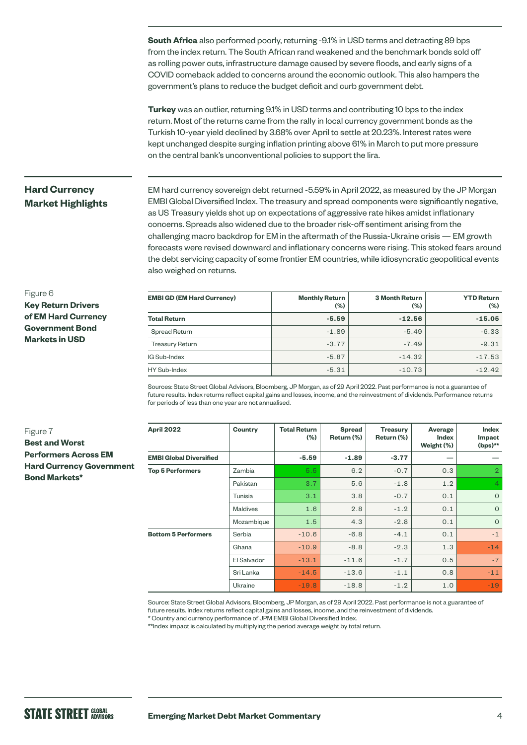**South Africa** also performed poorly, returning -9.1% in USD terms and detracting 89 bps from the index return. The South African rand weakened and the benchmark bonds sold off as rolling power cuts, infrastructure damage caused by severe floods, and early signs of a COVID comeback added to concerns around the economic outlook. This also hampers the government's plans to reduce the budget deficit and curb government debt.

**Turkey** was an outlier, returning 9.1% in USD terms and contributing 10 bps to the index return. Most of the returns came from the rally in local currency government bonds as the Turkish 10-year yield declined by 3.68% over April to settle at 20.23%. Interest rates were kept unchanged despite surging inflation printing above 61% in March to put more pressure on the central bank's unconventional policies to support the lira.

## **Hard Currency Market Highlights**

EM hard currency sovereign debt returned -5.59% in April 2022, as measured by the JP Morgan EMBI Global Diversified Index. The treasury and spread components were significantly negative, as US Treasury yields shot up on expectations of aggressive rate hikes amidst inflationary concerns. Spreads also widened due to the broader risk-off sentiment arising from the challenging macro backdrop for EM in the aftermath of the Russia-Ukraine crisis — EM growth forecasts were revised downward and inflationary concerns were rising. This stoked fears around the debt servicing capacity of some frontier EM countries, while idiosyncratic geopolitical events also weighed on returns.

#### Figure 6

**Key Return Drivers of EM Hard Currency Government Bond Markets in USD**

| <b>EMBI GD (EM Hard Currency)</b> | <b>Monthly Return</b><br>$(\% )$ | <b>3 Month Return</b><br>(%) | <b>YTD Return</b><br>(%) |
|-----------------------------------|----------------------------------|------------------------------|--------------------------|
| <b>Total Return</b>               | $-5.59$                          | $-12.56$                     | $-15.05$                 |
| Spread Return                     | $-1.89$                          | $-5.49$                      | $-6.33$                  |
| <b>Treasury Return</b>            | $-3.77$                          | $-7.49$                      | $-9.31$                  |
| IG Sub-Index                      | $-5.87$                          | $-14.32$                     | $-17.53$                 |
| HY Sub-Index                      | $-5.31$                          | $-10.73$                     | $-12.42$                 |

Sources: State Street Global Advisors, Bloomberg, JP Morgan, as of 29 April 2022. Past performance is not a guarantee of future results. Index returns reflect capital gains and losses, income, and the reinvestment of dividends. Performance returns for periods of less than one year are not annualised.

### Figure 7 **Best and Worst Performers Across EM Hard Currency Government Bond Markets\***

| <b>April 2022</b>              | Country         | <b>Total Return</b><br>$(\% )$ | <b>Spread</b><br>Return (%) | <b>Treasury</b><br>Return (%) | Average<br><b>Index</b><br>Weight (%) | Index<br>Impact<br>$(bps)$ ** |
|--------------------------------|-----------------|--------------------------------|-----------------------------|-------------------------------|---------------------------------------|-------------------------------|
| <b>EMBI Global Diversified</b> |                 | $-5.59$                        | $-1.89$                     | $-3.77$                       | –                                     |                               |
| <b>Top 5 Performers</b>        | Zambia          | 5.5                            | 6.2                         | $-0.7$                        | 0.3                                   | $\overline{2}$                |
|                                | Pakistan        | 3.7                            | 5.6                         | $-1.8$                        | 1.2                                   | $\overline{4}$                |
|                                | Tunisia         | 3.1                            | 3.8                         | $-0.7$                        | 0.1                                   | $\mathbf{O}$                  |
|                                | <b>Maldives</b> | 1.6                            | 2.8                         | $-1.2$                        | 0.1                                   | $\Omega$                      |
|                                | Mozambique      | 1.5                            | 4.3                         | $-2.8$                        | 0.1                                   | $\Omega$                      |
| <b>Bottom 5 Performers</b>     | Serbia          | $-10.6$                        | $-6.8$                      | $-4.1$                        | 0.1                                   | $-1$                          |
|                                | Ghana           | $-10.9$                        | $-8.8$                      | $-2.3$                        | 1.3                                   | $-14$                         |
|                                | El Salvador     | $-13.1$                        | $-11.6$                     | $-1.7$                        | 0.5                                   | $-7$                          |
|                                | Sri Lanka       | $-14.5$                        | $-13.6$                     | $-1.1$                        | 0.8                                   | $-11$                         |
|                                | Ukraine         | $-19.8$                        | $-18.8$                     | $-1.2$                        | 1.0                                   | $-19$                         |

Source: State Street Global Advisors, Bloomberg, JP Morgan, as of 29 April 2022. Past performance is not a guarantee of future results. Index returns reflect capital gains and losses, income, and the reinvestment of dividends.

\* Country and currency performance of JPM EMBI Global Diversified Index.

\*\*Index impact is calculated by multiplying the period average weight by total return.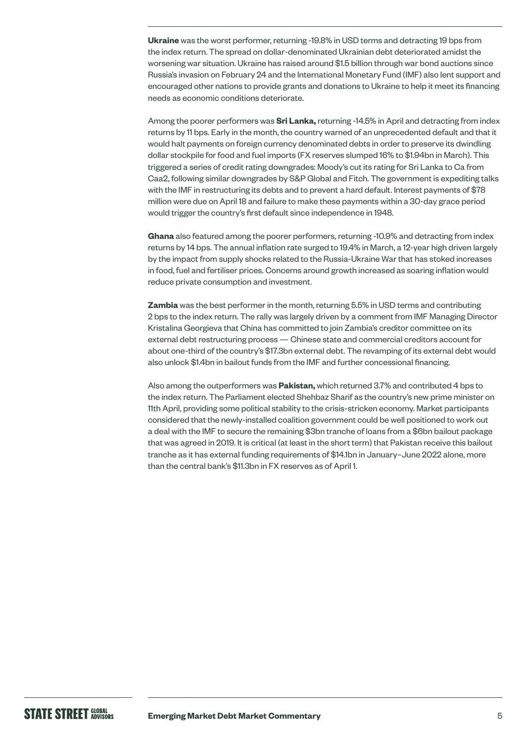**Ukraine** was the worst performer, returning -19.8% in USD terms and detracting 19 bps from the index return. The spread on dollar-denominated Ukrainian debt deteriorated amidst the worsening war situation. Ukraine has raised around \$1.5 billion through war bond auctions since Russia's invasion on February 24 and the International Monetary Fund (IMF) also lent support and encouraged other nations to provide grants and donations to Ukraine to help it meet its financing needs as economic conditions deteriorate.

Among the poorer performers was **Sri Lanka,** returning -14.5% in April and detracting from index returns by 11 bps. Early in the month, the country warned of an unprecedented default and that it would halt payments on foreign currency denominated debts in order to preserve its dwindling dollar stockpile for food and fuel imports (FX reserves slumped 16% to \$1.94bn in March). This triggered a series of credit rating downgrades: Moody's cut its rating for Sri Lanka to Ca from Caa2, following similar downgrades by S&P Global and Fitch. The government is expediting talks with the IMF in restructuring its debts and to prevent a hard default. Interest payments of \$78 million were due on April 18 and failure to make these payments within a 30-day grace period would trigger the country's first default since independence in 1948.

**Ghana** also featured among the poorer performers, returning -10.9% and detracting from index returns by 14 bps. The annual inflation rate surged to 19.4% in March, a 12-year high driven largely by the impact from supply shocks related to the Russia-Ukraine War that has stoked increases in food, fuel and fertiliser prices. Concerns around growth increased as soaring inflation would reduce private consumption and investment.

**Zambia** was the best performer in the month, returning 5.5% in USD terms and contributing 2 bps to the index return. The rally was largely driven by a comment from IMF Managing Director Kristalina Georgieva that China has committed to join Zambia's creditor committee on its external debt restructuring process — Chinese state and commercial creditors account for about one-third of the country's \$17.3bn external debt. The revamping of its external debt would also unlock \$1.4bn in bailout funds from the IMF and further concessional financing.

Also among the outperformers was **Pakistan,** which returned 3.7% and contributed 4 bps to the index return. The Parliament elected Shehbaz Sharif as the country's new prime minister on 11th April, providing some political stability to the crisis-stricken economy. Market participants considered that the newly-installed coalition government could be well positioned to work out a deal with the IMF to secure the remaining \$3bn tranche of loans from a \$6bn bailout package that was agreed in 2019. It is critical (at least in the short term) that Pakistan receive this bailout tranche as it has external funding requirements of \$14.1bn in January–June 2022 alone, more than the central bank's \$11.3bn in FX reserves as of April 1.